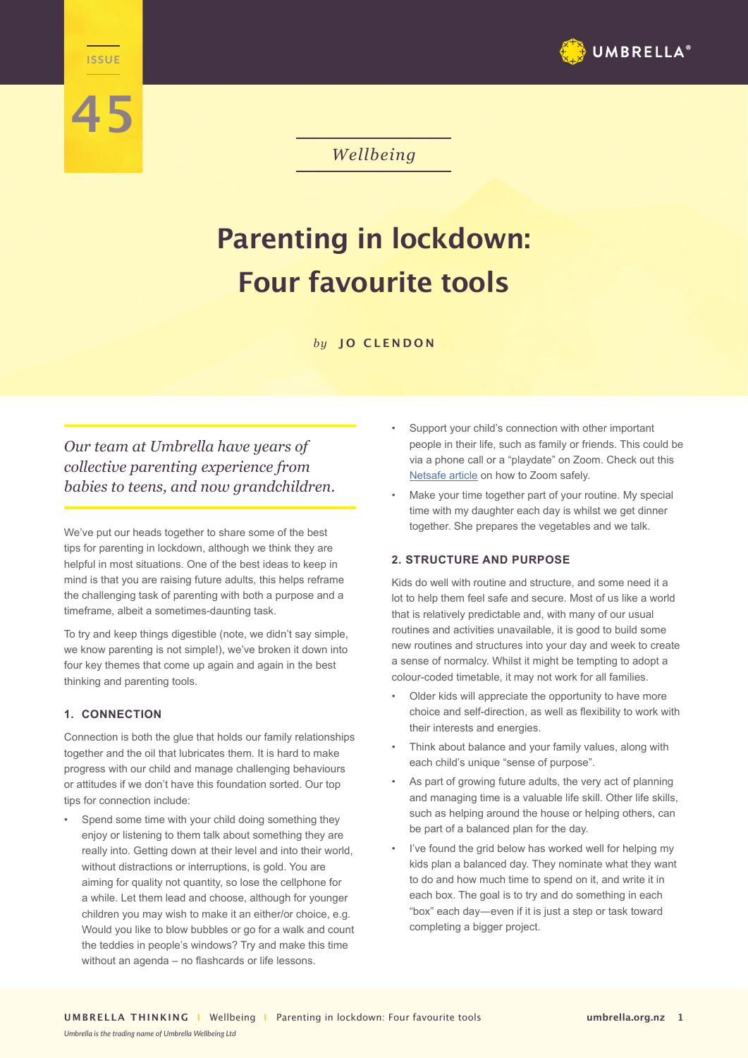

# **45**

**WELLENGE** 

*Wellbeing*

## **Parenting in lockdown: Four favourite tools**

*by* **JO CLENDON**

*Our team at Umbrella have years of collective parenting experience from babies to teens, and now grandchildren.* 

We've put our heads together to share some of the best tips for parenting in lockdown, although we think they are helpful in most situations. One of the best ideas to keep in mind is that you are raising future adults, this helps reframe the challenging task of parenting with both a purpose and a timeframe, albeit a sometimes-daunting task.

To try and keep things digestible (note, we didn't say simple, we know parenting is not simple!), we've broken it down into four key themes that come up again and again in the best thinking and parenting tools.

### **1. CONNECTION**

Connection is both the glue that holds our family relationships together and the oil that lubricates them. It is hard to make progress with our child and manage challenging behaviours or attitudes if we don't have this foundation sorted. Our top tips for connection include:

Spend some time with your child doing something they enjoy or listening to them talk about something they are really into. Getting down at their level and into their world, without distractions or interruptions, is gold. You are aiming for quality not quantity, so lose the cellphone for a while. Let them lead and choose, although for younger children you may wish to make it an either/or choice, e.g. Would you like to blow bubbles or go for a walk and count the teddies in people's windows? Try and make this time without an agenda – no flashcards or life lessons.

- Support your child's connection with other important people in their life, such as family or friends. This could be via a phone call or a "playdate" on Zoom. Check out this Netsafe article on how to Zoom safely.
- Make your time together part of your routine. My special time with my daughter each day is whilst we get dinner together. She prepares the vegetables and we talk.

#### **2. STRUCTURE AND PURPOSE**

Kids do well with routine and structure, and some need it a lot to help them feel safe and secure. Most of us like a world that is relatively predictable and, with many of our usual routines and activities unavailable, it is good to build some new routines and structures into your day and week to create a sense of normalcy. Whilst it might be tempting to adopt a colour-coded timetable, it may not work for all families.

- Older kids will appreciate the opportunity to have more choice and self-direction, as well as flexibility to work with their interests and energies.
- Think about balance and your family values, along with each child's unique "sense of purpose".
- As part of growing future adults, the very act of planning and managing time is a valuable life skill. Other life skills, such as helping around the house or helping others, can be part of a balanced plan for the day.
- I've found the grid below has worked well for helping my kids plan a balanced day. They nominate what they want to do and how much time to spend on it, and write it in each box. The goal is to try and do something in each "box" each day―even if it is just a step or task toward completing a bigger project.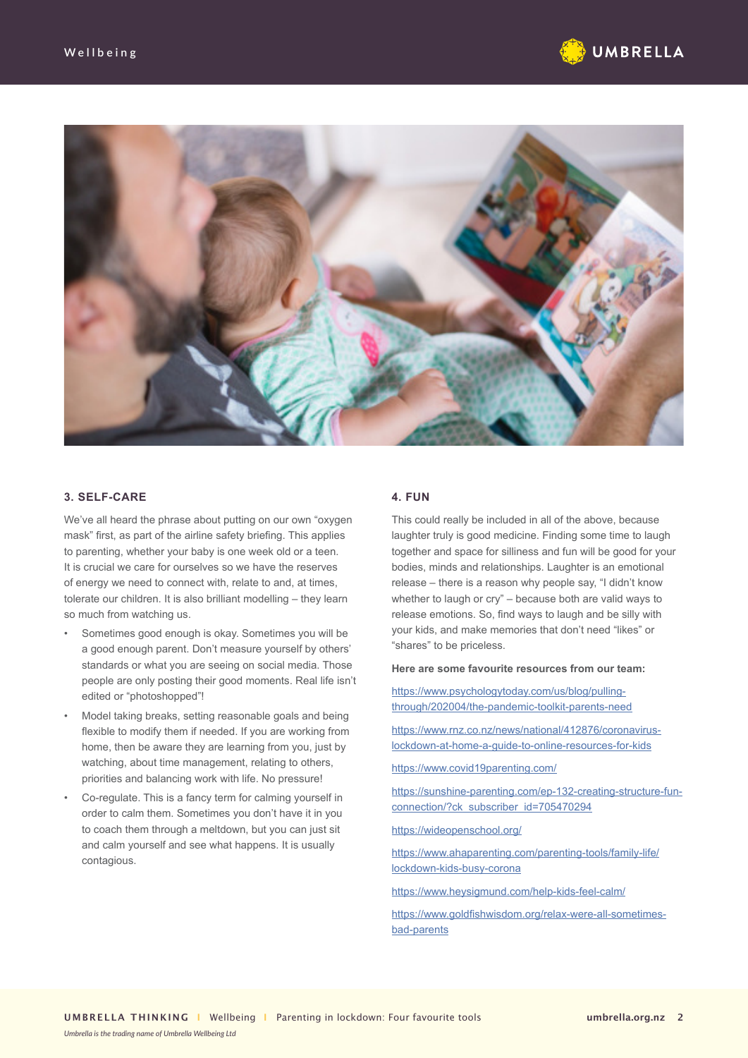



#### **3. SELF-CARE**

We've all heard the phrase about putting on our own "oxygen mask" first, as part of the airline safety briefing. This applies to parenting, whether your baby is one week old or a teen. It is crucial we care for ourselves so we have the reserves of energy we need to connect with, relate to and, at times, tolerate our children. It is also brilliant modelling – they learn so much from watching us.

- Sometimes good enough is okay. Sometimes you will be a good enough parent. Don't measure yourself by others' standards or what you are seeing on social media. Those people are only posting their good moments. Real life isn't edited or "photoshopped"!
- Model taking breaks, setting reasonable goals and being flexible to modify them if needed. If you are working from home, then be aware they are learning from you, just by watching, about time management, relating to others, priorities and balancing work with life. No pressure!
- Co-regulate. This is a fancy term for calming yourself in order to calm them. Sometimes you don't have it in you to coach them through a meltdown, but you can just sit and calm yourself and see what happens. It is usually contagious.

#### **4. FUN**

This could really be included in all of the above, because laughter truly is good medicine. Finding some time to laugh together and space for silliness and fun will be good for your bodies, minds and relationships. Laughter is an emotional release – there is a reason why people say, "I didn't know whether to laugh or cry" – because both are valid ways to release emotions. So, find ways to laugh and be silly with your kids, and make memories that don't need "likes" or "shares" to be priceless.

**Here are some favourite resources from our team:**

https://www.psychologytoday.com/us/blog/pullingthrough/202004/the-pandemic-toolkit-parents-need

https://www.rnz.co.nz/news/national/412876/coronaviruslockdown-at-home-a-guide-to-online-resources-for-kids

https://www.covid19parenting.com/

https://sunshine-parenting.com/ep-132-creating-structure-funconnection/?ck\_subscriber\_id=705470294

https://wideopenschool.org/

https://www.ahaparenting.com/parenting-tools/family-life/ lockdown-kids-busy-corona

https://www.heysigmund.com/help-kids-feel-calm/

https://www.goldfishwisdom.org/relax-were-all-sometimesbad-parents